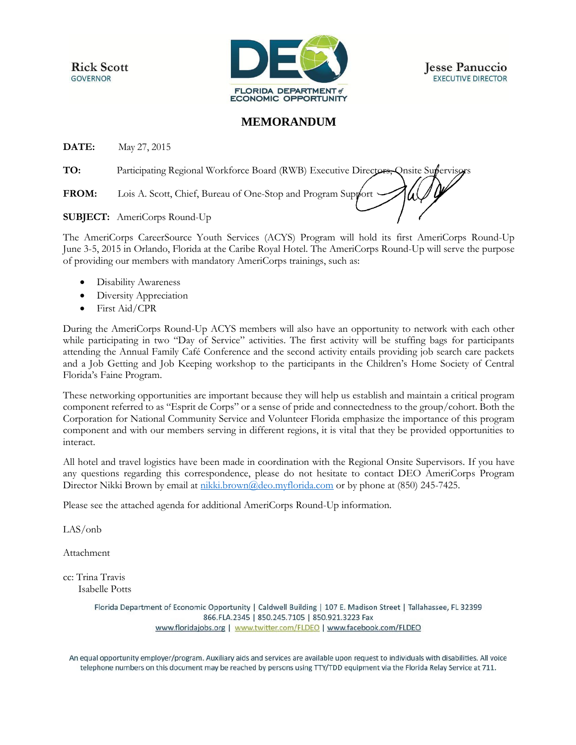**Rick Scott GOVERNOR** 



**Jesse Panuccio EXECUTIVE DIRECTOR** 

## **MEMORANDUM**

**DATE:** May 27, 2015

**TO:** Participating Regional Workforce Board (RWB) Executive Directors, Onsite Supervisors

**FROM:** Lois A. Scott, Chief, Bureau of One-Stop and Program Support  $\cdot$ 

**SUBJECT:** AmeriCorps Round-Up

The AmeriCorps CareerSource Youth Services (ACYS) Program will hold its first AmeriCorps Round-Up June 3-5, 2015 in Orlando, Florida at the Caribe Royal Hotel. The AmeriCorps Round-Up will serve the purpose of providing our members with mandatory AmeriCorps trainings, such as:

- Disability Awareness
- Diversity Appreciation
- First Aid/CPR

During the AmeriCorps Round-Up ACYS members will also have an opportunity to network with each other while participating in two "Day of Service" activities. The first activity will be stuffing bags for participants attending the Annual Family Café Conference and the second activity entails providing job search care packets and a Job Getting and Job Keeping workshop to the participants in the Children's Home Society of Central Florida's Faine Program.

These networking opportunities are important because they will help us establish and maintain a critical program component referred to as "Esprit de Corps" or a sense of pride and connectedness to the group/cohort. Both the Corporation for National Community Service and Volunteer Florida emphasize the importance of this program component and with our members serving in different regions, it is vital that they be provided opportunities to interact.

All hotel and travel logistics have been made in coordination with the Regional Onsite Supervisors. If you have any questions regarding this correspondence, please do not hesitate to contact DEO AmeriCorps Program Director Nikki Brown by email at [nikki.brown@deo.myflorida.com](mailto:nikki.brown@deo.myflorida.com) or by phone at (850) 245-7425.

Please see the attached agenda for additional AmeriCorps Round-Up information.

LAS/onb

Attachment

cc: Trina Travis Isabelle Potts

> Florida Department of Economic Opportunity | Caldwell Building | 107 E. Madison Street | Tallahassee, FL 32399 866.FLA.2345 | 850.245.7105 | 850.921.3223 Fax www.floridajobs.org | www.twitter.com/FLDEO | www.facebook.com/FLDEO

An equal opportunity employer/program. Auxiliary aids and services are available upon request to individuals with disabilities. All voice telephone numbers on this document may be reached by persons using TTY/TDD equipment via the Florida Relay Service at 711.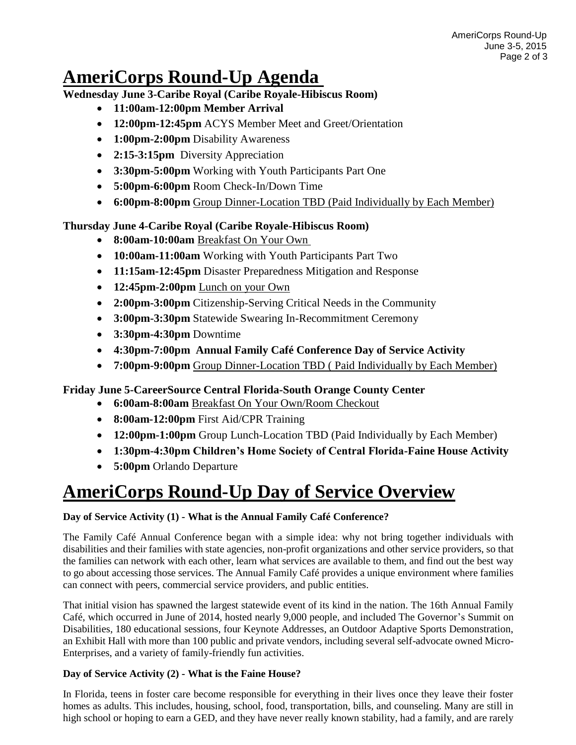# **AmeriCorps Round-Up Agenda**

**Wednesday June 3-Caribe Royal (Caribe Royale-Hibiscus Room)** 

- **11:00am-12:00pm Member Arrival**
- **12:00pm-12:45pm** ACYS Member Meet and Greet/Orientation
- **1:00pm-2:00pm** Disability Awareness
- **2:15-3:15pm** Diversity Appreciation
- **3:30pm-5:00pm** Working with Youth Participants Part One
- **5:00pm-6:00pm** Room Check-In/Down Time
- **6:00pm-8:00pm** Group Dinner-Location TBD (Paid Individually by Each Member)

## **Thursday June 4-Caribe Royal (Caribe Royale-Hibiscus Room)**

- **8:00am-10:00am** Breakfast On Your Own
- **10:00am-11:00am** Working with Youth Participants Part Two
- **11:15am-12:45pm** Disaster Preparedness Mitigation and Response
- **12:45pm-2:00pm** Lunch on your Own
- **2:00pm-3:00pm** Citizenship-Serving Critical Needs in the Community
- **3:00pm-3:30pm** Statewide Swearing In-Recommitment Ceremony
- **3:30pm-4:30pm** Downtime
- **4:30pm-7:00pm Annual Family Café Conference Day of Service Activity**
- **7:00pm-9:00pm** Group Dinner-Location TBD ( Paid Individually by Each Member)

## **Friday June 5-CareerSource Central Florida-South Orange County Center**

- **6:00am-8:00am** Breakfast On Your Own/Room Checkout
- **8:00am-12:00pm** First Aid/CPR Training
- **12:00pm-1:00pm** Group Lunch-Location TBD (Paid Individually by Each Member)
- **1:30pm-4:30pm Children's Home Society of Central Florida-Faine House Activity**
- **5:00pm** Orlando Departure

# **AmeriCorps Round-Up Day of Service Overview**

#### **Day of Service Activity (1) - What is the Annual Family Café Conference?**

The Family Café Annual Conference began with a simple idea: why not bring together individuals with disabilities and their families with state agencies, non-profit organizations and other service providers, so that the families can network with each other, learn what services are available to them, and find out the best way to go about accessing those services. The Annual Family Café provides a unique environment where families can connect with peers, commercial service providers, and public entities.

That initial vision has spawned the largest statewide event of its kind in the nation. The 16th Annual Family Café, which occurred in June of 2014, hosted nearly 9,000 people, and included The Governor's Summit on Disabilities, 180 educational sessions, four Keynote Addresses, an Outdoor Adaptive Sports Demonstration, an Exhibit Hall with more than 100 public and private vendors, including several self-advocate owned Micro-Enterprises, and a variety of family-friendly fun activities.

#### **Day of Service Activity (2) - What is the Faine House?**

In Florida, teens in foster care become responsible for everything in their lives once they leave their foster homes as adults. This includes, housing, school, food, transportation, bills, and counseling. Many are still in high school or hoping to earn a GED, and they have never really known stability, had a family, and are rarely